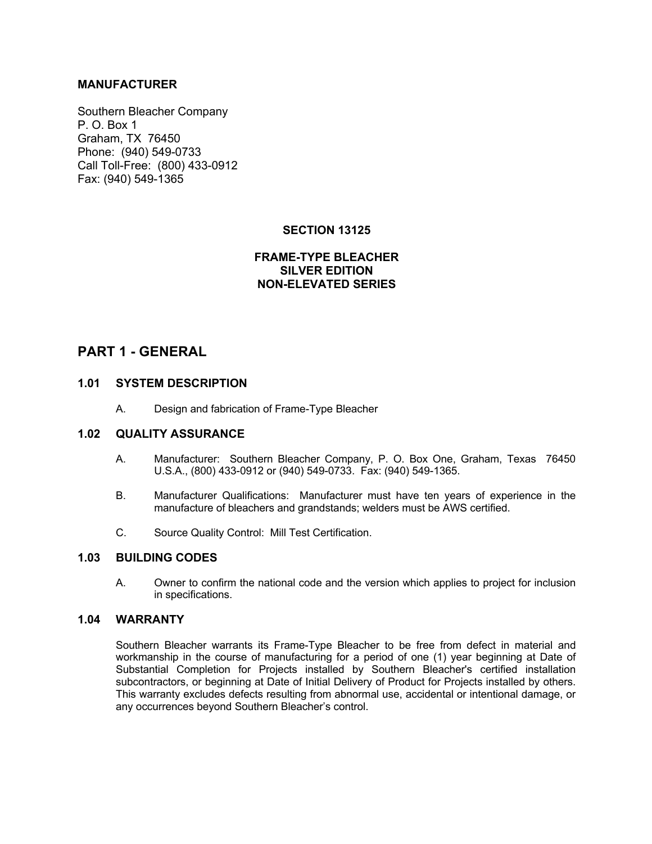## **MANUFACTURER**

Southern Bleacher Company P. O. Box 1 Graham, TX 76450 Phone: (940) 549-0733 Call Toll-Free: (800) 433-0912 Fax: (940) 549-1365

## **SECTION 13125**

## **FRAME-TYPE BLEACHER SILVER EDITION NON-ELEVATED SERIES**

# **PART 1 - GENERAL**

## **1.01 SYSTEM DESCRIPTION**

A. Design and fabrication of Frame-Type Bleacher

## **1.02 QUALITY ASSURANCE**

- A. Manufacturer: Southern Bleacher Company, P. O. Box One, Graham, Texas 76450 U.S.A., (800) 433-0912 or (940) 549-0733. Fax: (940) 549-1365.
- B. Manufacturer Qualifications: Manufacturer must have ten years of experience in the manufacture of bleachers and grandstands; welders must be AWS certified.
- C. Source Quality Control: Mill Test Certification.

## **1.03 BUILDING CODES**

A. Owner to confirm the national code and the version which applies to project for inclusion in specifications.

#### **1.04 WARRANTY**

Southern Bleacher warrants its Frame-Type Bleacher to be free from defect in material and workmanship in the course of manufacturing for a period of one (1) year beginning at Date of Substantial Completion for Projects installed by Southern Bleacher's certified installation subcontractors, or beginning at Date of Initial Delivery of Product for Projects installed by others. This warranty excludes defects resulting from abnormal use, accidental or intentional damage, or any occurrences beyond Southern Bleacher's control.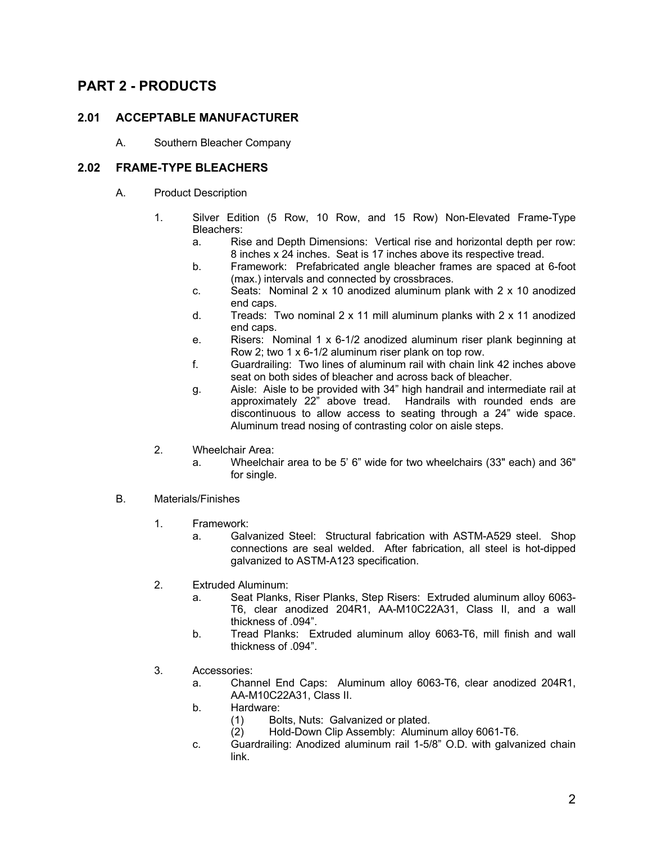# **PART 2 - PRODUCTS**

## **2.01 ACCEPTABLE MANUFACTURER**

A. Southern Bleacher Company

## **2.02 FRAME-TYPE BLEACHERS**

- A. Product Description
	- 1. Silver Edition (5 Row, 10 Row, and 15 Row) Non-Elevated Frame-Type Bleachers:
		- a. Rise and Depth Dimensions: Vertical rise and horizontal depth per row: 8 inches x 24 inches. Seat is 17 inches above its respective tread.
		- b. Framework: Prefabricated angle bleacher frames are spaced at 6-foot (max.) intervals and connected by crossbraces.
		- c. Seats: Nominal  $2 \times 10$  anodized aluminum plank with  $2 \times 10$  anodized end caps.
		- d. Treads: Two nominal 2 x 11 mill aluminum planks with 2 x 11 anodized end caps.
		- e. Risers: Nominal 1 x 6-1/2 anodized aluminum riser plank beginning at Row 2; two 1 x 6-1/2 aluminum riser plank on top row.
		- f. Guardrailing: Two lines of aluminum rail with chain link 42 inches above seat on both sides of bleacher and across back of bleacher.
		- g. Aisle: Aisle to be provided with 34" high handrail and intermediate rail at approximately 22" above tread. Handrails with rounded ends are discontinuous to allow access to seating through a 24" wide space. Aluminum tread nosing of contrasting color on aisle steps.
	- 2. Wheelchair Area:
		- a. Wheelchair area to be 5' 6" wide for two wheelchairs (33" each) and 36" for single.
- B. Materials/Finishes
	- 1. Framework:
		- a. Galvanized Steel: Structural fabrication with ASTM-A529 steel. Shop connections are seal welded. After fabrication, all steel is hot-dipped galvanized to ASTM-A123 specification.
	- 2. Extruded Aluminum:
		- a. Seat Planks, Riser Planks, Step Risers: Extruded aluminum alloy 6063- T6, clear anodized 204R1, AA-M10C22A31, Class II, and a wall thickness of .094".
		- b. Tread Planks: Extruded aluminum alloy 6063-T6, mill finish and wall thickness of .094".
	- 3. Accessories:
		- a. Channel End Caps: Aluminum alloy 6063-T6, clear anodized 204R1, AA-M10C22A31, Class II.
		- b. Hardware:
			- (1) Bolts, Nuts: Galvanized or plated.
			- (2) Hold-Down Clip Assembly: Aluminum alloy 6061-T6.
		- c. Guardrailing: Anodized aluminum rail 1-5/8" O.D. with galvanized chain link.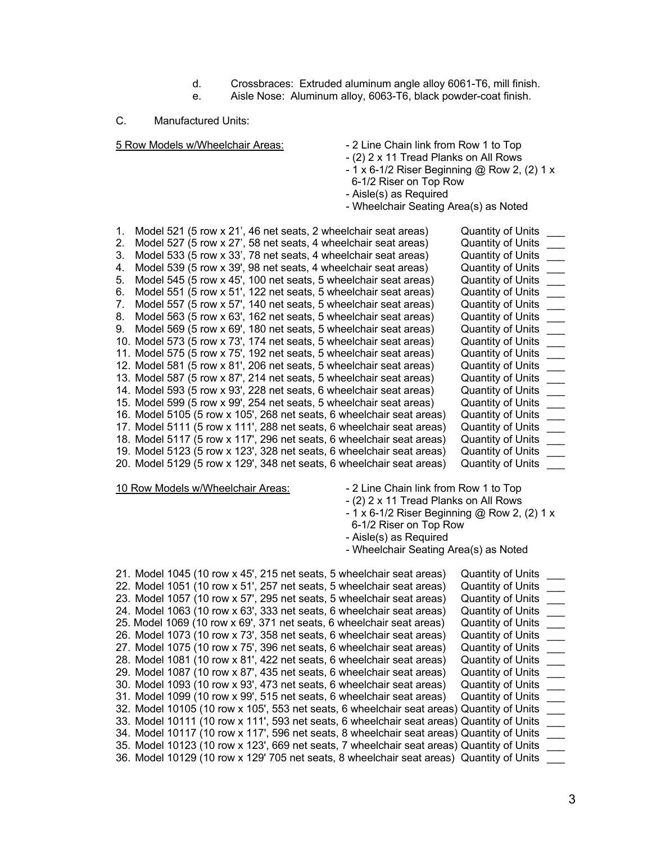- d. Crossbraces: Extruded aluminum angle alloy 6061-T6, mill finish.
- e. Aisle Nose: Aluminum alloy, 6063-T6, black powder-coat finish.

#### C. Manufactured Units:

- 5 Row Models w/Wheelchair Areas: 2 Line Chain link from Row 1 to Top
	- (2) 2 x 11 Tread Planks on All Rows
	- 1 x 6-1/2 Riser Beginning @ Row 2, (2) 1 x
	- 6-1/2 Riser on Top Row
	- Aisle(s) as Required
	- Wheelchair Seating Area(s) as Noted

| 1. | Model 521 (5 row x 21', 46 net seats, 2 wheelchair seat areas)        | <b>Quantity of Units</b> |
|----|-----------------------------------------------------------------------|--------------------------|
| 2. | Model 527 (5 row x 27', 58 net seats, 4 wheelchair seat areas)        | <b>Quantity of Units</b> |
| 3. | Model 533 (5 row x 33', 78 net seats, 4 wheelchair seat areas)        | <b>Quantity of Units</b> |
| 4. | Model 539 (5 row x 39', 98 net seats, 4 wheelchair seat areas)        | <b>Quantity of Units</b> |
| 5. | Model 545 (5 row x 45', 100 net seats, 5 wheelchair seat areas)       | <b>Quantity of Units</b> |
| 6. | Model 551 (5 row x 51', 122 net seats, 5 wheelchair seat areas)       | <b>Quantity of Units</b> |
| 7. | Model 557 (5 row x 57', 140 net seats, 5 wheelchair seat areas)       | <b>Quantity of Units</b> |
| 8. | Model 563 (5 row x 63', 162 net seats, 5 wheelchair seat areas)       | <b>Quantity of Units</b> |
| 9. | Model 569 (5 row x 69', 180 net seats, 5 wheelchair seat areas)       | <b>Quantity of Units</b> |
|    | 10. Model 573 (5 row x 73', 174 net seats, 5 wheelchair seat areas)   | <b>Quantity of Units</b> |
|    | 11. Model 575 (5 row x 75', 192 net seats, 5 wheelchair seat areas)   | <b>Quantity of Units</b> |
|    | 12. Model 581 (5 row x 81', 206 net seats, 5 wheelchair seat areas)   | <b>Quantity of Units</b> |
|    | 13. Model 587 (5 row x 87', 214 net seats, 5 wheelchair seat areas)   | <b>Quantity of Units</b> |
|    | 14. Model 593 (5 row x 93', 228 net seats, 6 wheelchair seat areas)   | <b>Quantity of Units</b> |
|    | 15. Model 599 (5 row x 99', 254 net seats, 5 wheelchair seat areas)   | <b>Quantity of Units</b> |
|    | 16. Model 5105 (5 row x 105', 268 net seats, 6 wheelchair seat areas) | <b>Quantity of Units</b> |
|    | 17. Model 5111 (5 row x 111', 288 net seats, 6 wheelchair seat areas) | <b>Quantity of Units</b> |
|    | 18. Model 5117 (5 row x 117', 296 net seats, 6 wheelchair seat areas) | <b>Quantity of Units</b> |
|    | 19. Model 5123 (5 row x 123', 328 net seats, 6 wheelchair seat areas) | <b>Quantity of Units</b> |
|    | 20. Model 5129 (5 row x 129', 348 net seats, 6 wheelchair seat areas) | <b>Quantity of Units</b> |

10 Row Models w/Wheelchair Areas: - 2 Line Chain link from Row 1 to Top

- 
- (2) 2 x 11 Tread Planks on All Rows
- 1 x 6-1/2 Riser Beginning @ Row 2, (2) 1 x
- 6-1/2 Riser on Top Row
- Aisle(s) as Required
- Wheelchair Seating Area(s) as Noted

| 21. Model 1045 (10 row x 45', 215 net seats, 5 wheelchair seat areas) |  |  |  |  |  |  | <b>Quantity of Units</b>                                                                  |  |
|-----------------------------------------------------------------------|--|--|--|--|--|--|-------------------------------------------------------------------------------------------|--|
| 22. Model 1051 (10 row x 51', 257 net seats, 5 wheelchair seat areas) |  |  |  |  |  |  | <b>Quantity of Units</b>                                                                  |  |
| 23. Model 1057 (10 row x 57', 295 net seats, 5 wheelchair seat areas) |  |  |  |  |  |  | <b>Quantity of Units</b>                                                                  |  |
| 24. Model 1063 (10 row x 63', 333 net seats, 6 wheelchair seat areas) |  |  |  |  |  |  | <b>Quantity of Units</b>                                                                  |  |
| 25. Model 1069 (10 row x 69', 371 net seats, 6 wheelchair seat areas) |  |  |  |  |  |  | <b>Quantity of Units</b>                                                                  |  |
| 26. Model 1073 (10 row x 73', 358 net seats, 6 wheelchair seat areas) |  |  |  |  |  |  | <b>Quantity of Units</b>                                                                  |  |
| 27. Model 1075 (10 row x 75', 396 net seats, 6 wheelchair seat areas) |  |  |  |  |  |  | <b>Quantity of Units</b>                                                                  |  |
| 28. Model 1081 (10 row x 81', 422 net seats, 6 wheelchair seat areas) |  |  |  |  |  |  | <b>Quantity of Units</b>                                                                  |  |
| 29. Model 1087 (10 row x 87', 435 net seats, 6 wheelchair seat areas) |  |  |  |  |  |  | <b>Quantity of Units</b>                                                                  |  |
| 30. Model 1093 (10 row x 93', 473 net seats, 6 wheelchair seat areas) |  |  |  |  |  |  | <b>Quantity of Units</b>                                                                  |  |
| 31. Model 1099 (10 row x 99', 515 net seats, 6 wheelchair seat areas) |  |  |  |  |  |  | <b>Quantity of Units</b>                                                                  |  |
|                                                                       |  |  |  |  |  |  | 32. Model 10105 (10 row x 105', 553 net seats, 6 wheelchair seat areas) Quantity of Units |  |
|                                                                       |  |  |  |  |  |  | 33. Model 10111 (10 row x 111', 593 net seats, 6 wheelchair seat areas) Quantity of Units |  |
|                                                                       |  |  |  |  |  |  | 34. Model 10117 (10 row x 117', 596 net seats, 8 wheelchair seat areas) Quantity of Units |  |
|                                                                       |  |  |  |  |  |  | 35. Model 10123 (10 row x 123', 669 net seats, 7 wheelchair seat areas) Quantity of Units |  |
|                                                                       |  |  |  |  |  |  | 36. Model 10129 (10 row x 129' 705 net seats, 8 wheelchair seat areas) Quantity of Units  |  |